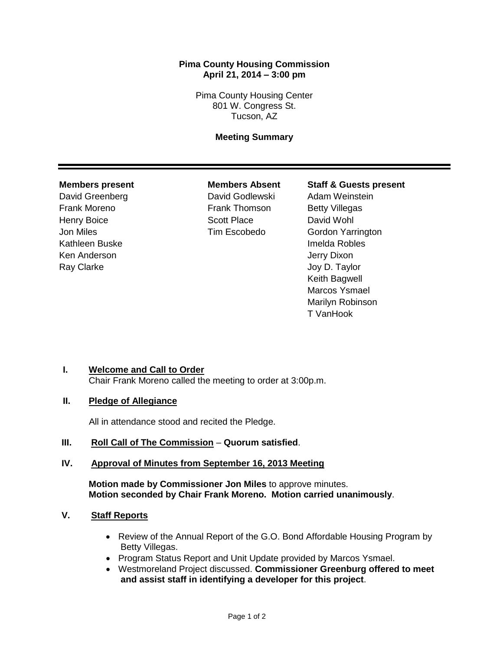# **Pima County Housing Commission April 21, 2014 – 3:00 pm**

Pima County Housing Center 801 W. Congress St. Tucson, AZ

# **Meeting Summary**

David Greenberg David Godlewski Adam Weinstein Frank Moreno **Frank Thomson** Betty Villegas Henry Boice **Scott Place** David Wohl Kathleen Buske **Imelda Robles** Ken Anderson **Jerry Dixon** Ray Clarke **Internal Clarke** Joy D. Taylor

#### **Members present Members Absent Staff & Guests present**

Jon Miles Tim Escobedo Gordon Yarrington Keith Bagwell Marcos Ysmael Marilyn Robinson T VanHook

# **I. Welcome and Call to Order**

Chair Frank Moreno called the meeting to order at 3:00p.m.

### **II. Pledge of Allegiance**

All in attendance stood and recited the Pledge.

# **III. Roll Call of The Commission** – **Quorum satisfied**.

# **IV. Approval of Minutes from September 16, 2013 Meeting**

**Motion made by Commissioner Jon Miles** to approve minutes. **Motion seconded by Chair Frank Moreno. Motion carried unanimously**.

# **V. Staff Reports**

- Review of the Annual Report of the G.O. Bond Affordable Housing Program by Betty Villegas.
- Program Status Report and Unit Update provided by Marcos Ysmael.
- Westmoreland Project discussed. **Commissioner Greenburg offered to meet and assist staff in identifying a developer for this project**.